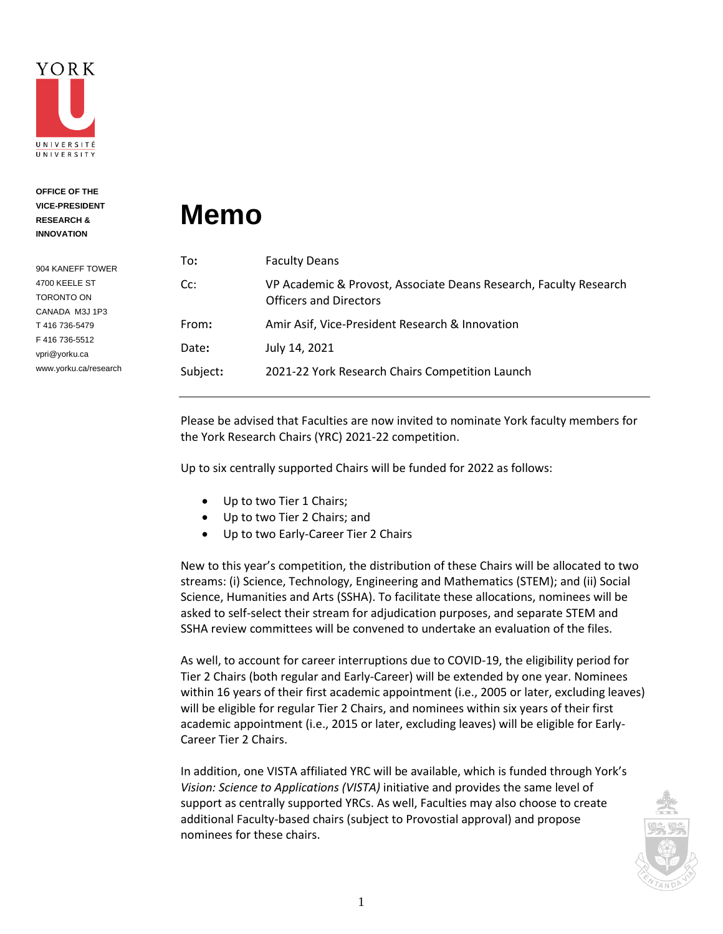

**OFFICE OF THE** 

**VICE-PRESIDENT RESEARCH & INNOVATION** 904 KANEFF TOWER 4700 KEELE ST TORONTO ON CANADA M3J 1P3 T 416 736-5479 F 416 736-5512 vpri@yorku.ca

www.yorku.ca/research

## **Memo**

| To:      | <b>Faculty Deans</b>                                                                               |
|----------|----------------------------------------------------------------------------------------------------|
| $Cc$ :   | VP Academic & Provost, Associate Deans Research, Faculty Research<br><b>Officers and Directors</b> |
| From:    | Amir Asif, Vice-President Research & Innovation                                                    |
| Date:    | July 14, 2021                                                                                      |
| Subject: | 2021-22 York Research Chairs Competition Launch                                                    |
|          |                                                                                                    |

Please be advised that Faculties are now invited to nominate York faculty members for the York Research Chairs (YRC) 2021-22 competition.

Up to six centrally supported Chairs will be funded for 2022 as follows:

- Up to two Tier 1 Chairs;
- Up to two Tier 2 Chairs; and
- Up to two Early-Career Tier 2 Chairs

New to this year's competition, the distribution of these Chairs will be allocated to two streams: (i) Science, Technology, Engineering and Mathematics (STEM); and (ii) Social Science, Humanities and Arts (SSHA). To facilitate these allocations, nominees will be asked to self-select their stream for adjudication purposes, and separate STEM and SSHA review committees will be convened to undertake an evaluation of the files.

As well, to account for career interruptions due to COVID-19, the eligibility period for Tier 2 Chairs (both regular and Early-Career) will be extended by one year. Nominees within 16 years of their first academic appointment (i.e., 2005 or later, excluding leaves) will be eligible for regular Tier 2 Chairs, and nominees within six years of their first academic appointment (i.e., 2015 or later, excluding leaves) will be eligible for Early-Career Tier 2 Chairs.

In addition, one VISTA affiliated YRC will be available, which is funded through York's *Vision: Science to Applications (VISTA)* initiative and provides the same level of support as centrally supported YRCs. As well, Faculties may also choose to create additional Faculty-based chairs (subject to Provostial approval) and propose nominees for these chairs.

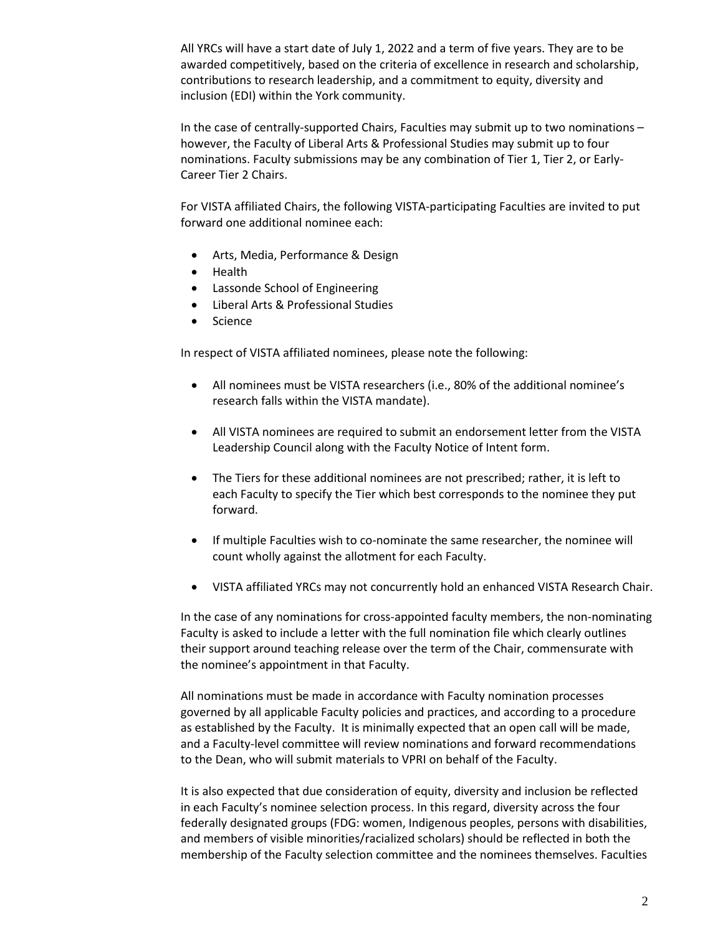All YRCs will have a start date of July 1, 2022 and a term of five years. They are to be awarded competitively, based on the criteria of excellence in research and scholarship, contributions to research leadership, and a commitment to equity, diversity and inclusion (EDI) within the York community.

In the case of centrally-supported Chairs, Faculties may submit up to two nominations – however, the Faculty of Liberal Arts & Professional Studies may submit up to four nominations. Faculty submissions may be any combination of Tier 1, Tier 2, or Early-Career Tier 2 Chairs.

For VISTA affiliated Chairs, the following VISTA-participating Faculties are invited to put forward one additional nominee each:

- Arts, Media, Performance & Design
- Health
- Lassonde School of Engineering
- Liberal Arts & Professional Studies
- Science

In respect of VISTA affiliated nominees, please note the following:

- All nominees must be VISTA researchers (i.e., 80% of the additional nominee's research falls within the VISTA mandate).
- All VISTA nominees are required to submit an endorsement letter from the VISTA Leadership Council along with the Faculty Notice of Intent form.
- The Tiers for these additional nominees are not prescribed; rather, it is left to each Faculty to specify the Tier which best corresponds to the nominee they put forward.
- If multiple Faculties wish to co-nominate the same researcher, the nominee will count wholly against the allotment for each Faculty.
- VISTA affiliated YRCs may not concurrently hold an enhanced VISTA Research Chair.

In the case of any nominations for cross-appointed faculty members, the non-nominating Faculty is asked to include a letter with the full nomination file which clearly outlines their support around teaching release over the term of the Chair, commensurate with the nominee's appointment in that Faculty.

All nominations must be made in accordance with Faculty nomination processes governed by all applicable Faculty policies and practices, and according to a procedure as established by the Faculty. It is minimally expected that an open call will be made, and a Faculty-level committee will review nominations and forward recommendations to the Dean, who will submit materials to VPRI on behalf of the Faculty.

It is also expected that due consideration of equity, diversity and inclusion be reflected in each Faculty's nominee selection process. In this regard, diversity across the four federally designated groups (FDG: women, Indigenous peoples, persons with disabilities, and members of visible minorities/racialized scholars) should be reflected in both the membership of the Faculty selection committee and the nominees themselves. Faculties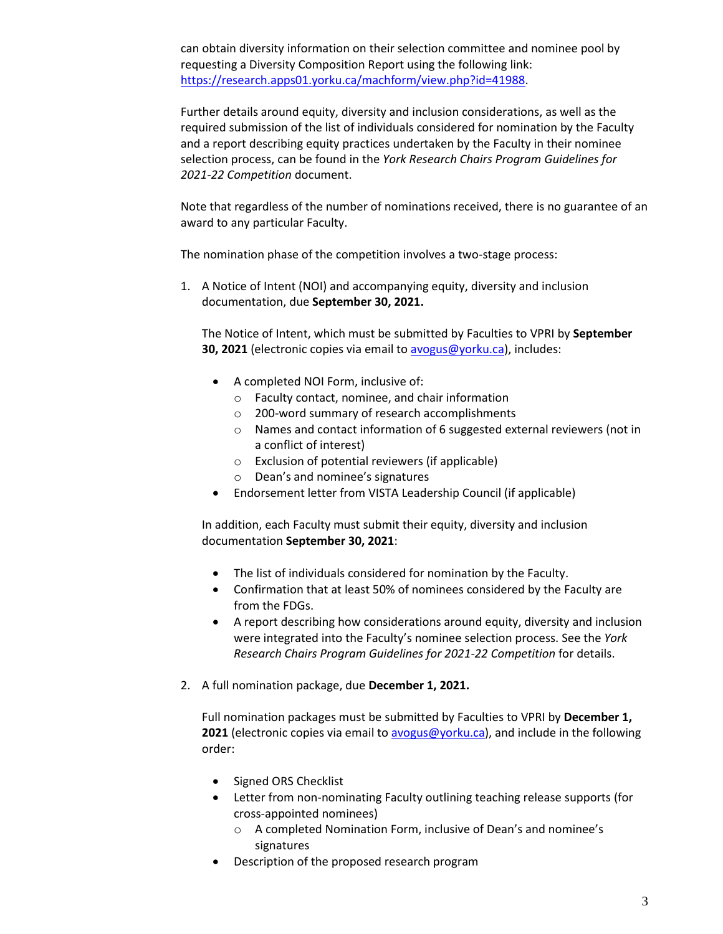can obtain diversity information on their selection committee and nominee pool by requesting a Diversity Composition Report using the following link: [https://research.apps01.yorku.ca/machform/view.php?id=41988.](https://research.apps01.yorku.ca/machform/view.php?id=41988)

Further details around equity, diversity and inclusion considerations, as well as the required submission of the list of individuals considered for nomination by the Faculty and a report describing equity practices undertaken by the Faculty in their nominee selection process, can be found in the *York Research Chairs Program Guidelines for 2021-22 Competition* document.

Note that regardless of the number of nominations received, there is no guarantee of an award to any particular Faculty.

The nomination phase of the competition involves a two-stage process:

1. A Notice of Intent (NOI) and accompanying equity, diversity and inclusion documentation, due **September 30, 2021.**

The Notice of Intent, which must be submitted by Faculties to VPRI by **September 30, 2021** (electronic copies via email to [avogus@yorku.ca\)](mailto:avogus@yorku.ca), includes:

- A completed NOI Form, inclusive of:
	- o Faculty contact, nominee, and chair information
	- o 200-word summary of research accomplishments
	- o Names and contact information of 6 suggested external reviewers (not in a conflict of interest)
	- o Exclusion of potential reviewers (if applicable)
	- o Dean's and nominee's signatures
- Endorsement letter from VISTA Leadership Council (if applicable)

In addition, each Faculty must submit their equity, diversity and inclusion documentation **September 30, 2021**:

- The list of individuals considered for nomination by the Faculty.
- Confirmation that at least 50% of nominees considered by the Faculty are from the FDGs.
- A report describing how considerations around equity, diversity and inclusion were integrated into the Faculty's nominee selection process. See the *York Research Chairs Program Guidelines for 2021-22 Competition* for details.
- 2. A full nomination package, due **December 1, 2021.**

Full nomination packages must be submitted by Faculties to VPRI by **December 1,**  2021 (electronic copies via email to [avogus@yorku.ca\)](mailto:avogus@yorku.ca), and include in the following order:

- Signed ORS Checklist
- Letter from non-nominating Faculty outlining teaching release supports (for cross-appointed nominees)
	- o A completed Nomination Form, inclusive of Dean's and nominee's signatures
- Description of the proposed research program